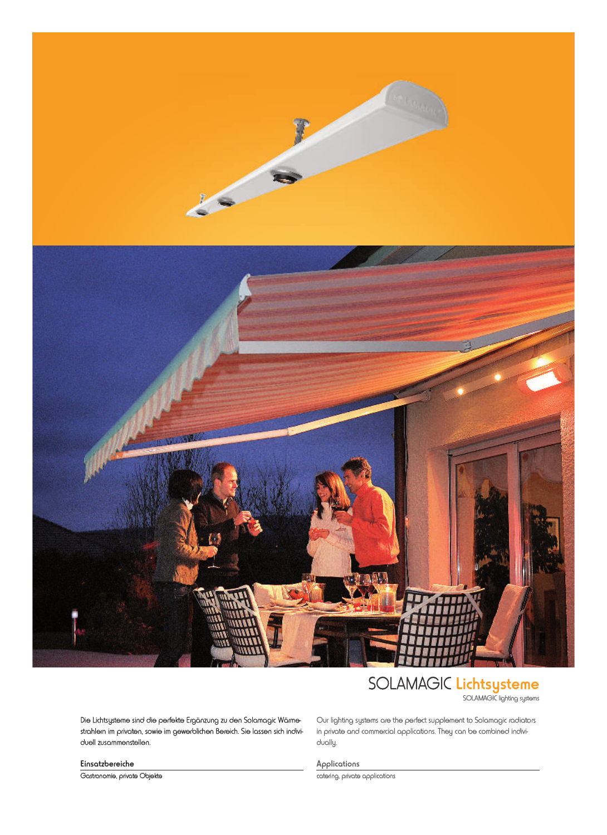



## SOLAMAGIC Lichtsysteme

SOLAMAGIC lighting systems

Die Lichtsysteme sind die perfekte Ergänzung zu den Solamagic Wärmestrahlern im privaten, sowie im gewerblichen Bereich. Sie lassen sich individuell zusammenstellen.

Our lighting systems are the perfect supplement to Solamagic radiators in private and commercial applications. They can be combined individually.

Applications catering, private applications

Einsatzbereiche

Gastronomie, private Objekte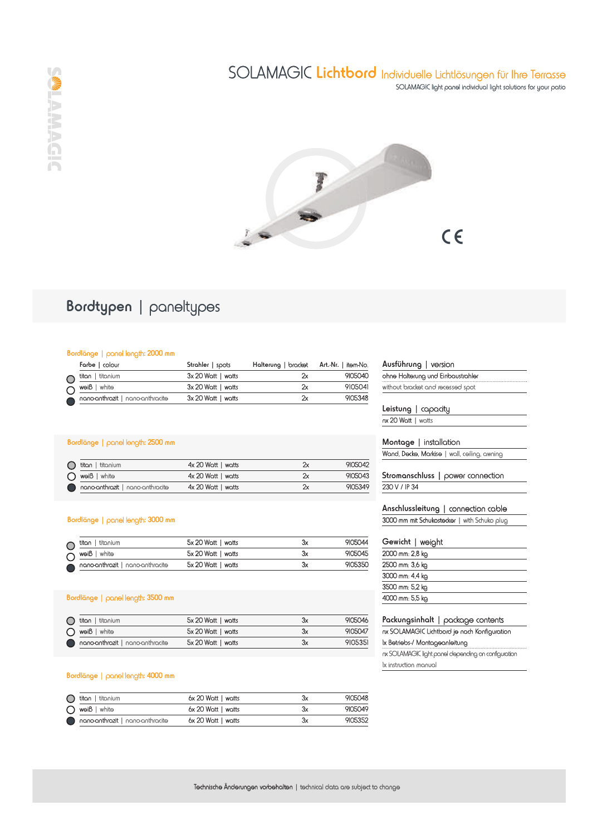



## Bordtypen | paneltypes

### Bordlänge | panel length: 2000 mm

|  | Farbe   colour                   | Strahler   spots   | Halterung   bracket Art.-Nr.   item-No. |         |
|--|----------------------------------|--------------------|-----------------------------------------|---------|
|  | $\bigcap$ titan   titanium       | 3x 20 Watt   watts | 'N                                      | 9105040 |
|  | $\bigcap$ weiß   white           | 3x 20 Watt   watts | '2χ                                     | 9105041 |
|  | nano-anthrazit   nano-anthracite | 3x 20 Watt   watts | X                                       | 9105348 |

### Bordlänge | panel length: 2500 mm

| titan   titanium                 | $4x 20$ Watt   watts | 2х  | 9105042 |
|----------------------------------|----------------------|-----|---------|
| $\bigcap$ weiß   white           | $4x 20$ Watt   watts | '2χ | 9105043 |
| nano-anthrazit   nano-anthracite | $4x 20$ Watt   watts | 2х  | 9105349 |

#### Bordlänge | panel length: 3000 mm

| $\bigcap$ titan   titanium       | 5x 20 Watt   watts | Зχ | 9105044 |
|----------------------------------|--------------------|----|---------|
| $\bigcap$ weiß   white           | 5x 20 Watt   watts | Зх | 9105045 |
| nano-anthrazit   nano-anthracite | 5x 20 Watt   watts | Зх | 9105350 |

## Bordlänge | panel length: 3500 mm

| $\bigcap$ titan   titanium       | 5x 20 Watt   watts | Зх | 9105046 |
|----------------------------------|--------------------|----|---------|
| $\bigcap$ weiß   white           | 5x 20 Watt   watts | Зх | 9105047 |
| nano-anthrazit   nano-anthracite | 5x 20 Watt   watts | Зx | 9105351 |
|                                  |                    |    |         |

#### Bordlänge | panel length: 4000 mm

| $\bigcap$ titan   titanium       | 6x 20 Watt   watts   | Зx | 9105048 |
|----------------------------------|----------------------|----|---------|
| $\bigcap$ weiß   white           | 6x 20 Watt   watts   | Зx | 9105049 |
| nano-anthrazit   nano-anthracite | $6x 20$ Watt   watts | Зx | 9105352 |

|                 | ohne Halterung und Einbaustrahler                   |
|-----------------|-----------------------------------------------------|
|                 | without bracket and recessed spot                   |
|                 |                                                     |
|                 | $Leistung$ $ $ capacity                             |
|                 | nx 20 Watt   watts                                  |
|                 | Montage   installation                              |
|                 | Wand, Decke, Markise   wall, ceiling, awning        |
|                 |                                                     |
|                 | Stromanschluss   power connection                   |
| 230 V / IP 34   |                                                     |
|                 |                                                     |
|                 |                                                     |
|                 | Anschlussleitung   connection cable                 |
|                 | 3000 mm mit Schukostecker   with Schuko plug        |
|                 |                                                     |
|                 | Gewicht   weight                                    |
| 2000 mm: 2,8 kg |                                                     |
| 2500 mm: 3,6 kg |                                                     |
| 3000 mm: 4,4 kg |                                                     |
| 3500 mm: 5,2 kg |                                                     |
| 4000 mm: 5,5 kg |                                                     |
|                 |                                                     |
|                 | Packungsinhalt   package contents                   |
|                 | nx SOLAMAGIC Lichtbord je nach Konfiguration        |
|                 | lx Betriebs-/ Montageanleitung                      |
|                 | nx SOLAMAGIC light panel depending on configuration |